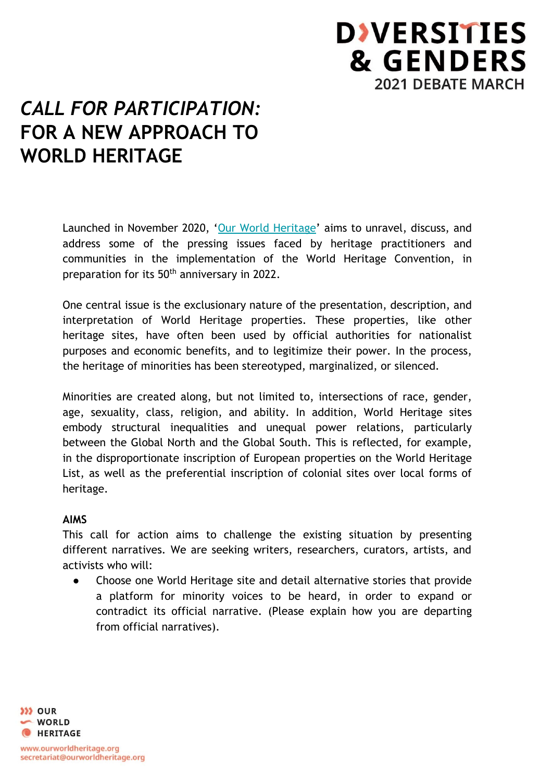## **DIVERSITIES & GENDERS 2021 DEBATE MARCH**

### *CALL FOR PARTICIPATION:* **FOR A NEW APPROACH TO WORLD HERITAGE**

Launched in November 2020, '[Our World Heritage](https://www.ourworldheritage.org/)' aims to unravel, discuss, and address some of the pressing issues faced by heritage practitioners and communities in the implementation of the World Heritage Convention, in preparation for its 50<sup>th</sup> anniversary in 2022.

One central issue is the exclusionary nature of the presentation, description, and interpretation of World Heritage properties. These properties, like other heritage sites, have often been used by official authorities for nationalist purposes and economic benefits, and to legitimize their power. In the process, the heritage of minorities has been stereotyped, marginalized, or silenced.

Minorities are created along, but not limited to, intersections of race, gender, age, sexuality, class, religion, and ability. In addition, World Heritage sites embody structural inequalities and unequal power relations, particularly between the Global North and the Global South. This is reflected, for example, in the disproportionate inscription of European properties on the World Heritage List, as well as the preferential inscription of colonial sites over local forms of heritage.

#### **AIMS**

This call for action aims to challenge the existing situation by presenting different narratives*.* We are seeking writers, researchers, curators, artists, and activists who will:

Choose one World Heritage site and detail alternative stories that provide a platform for minority voices to be heard, in order to expand or contradict its official narrative. (Please explain how you are departing from official narratives).



**XXX** OUR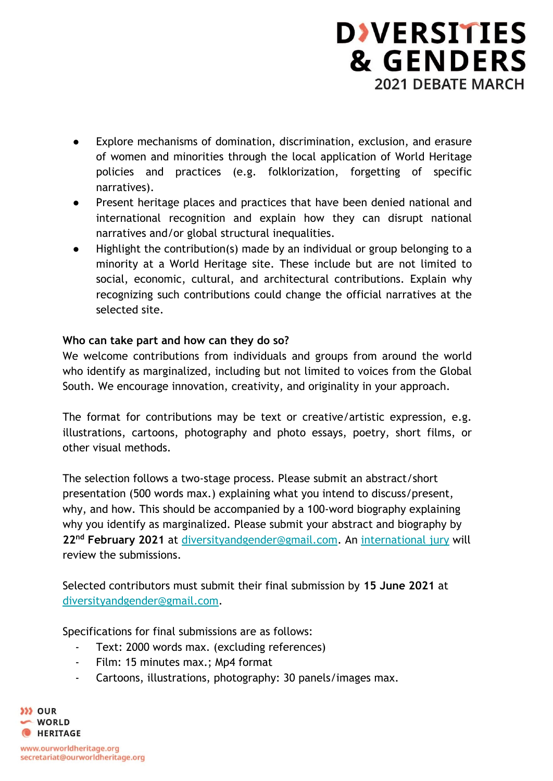# **DIVERSITIES & GENDERS 2021 DEBATE MARCH**

- Explore mechanisms of domination, discrimination, exclusion, and erasure of women and minorities through the local application of World Heritage policies and practices (e.g. folklorization, forgetting of specific narratives).
- Present heritage places and practices that have been denied national and international recognition and explain how they can disrupt national narratives and/or global structural inequalities.
- Highlight the contribution(s) made by an individual or group belonging to a minority at a World Heritage site. These include but are not limited to social, economic, cultural, and architectural contributions. Explain why recognizing such contributions could change the official narratives at the selected site.

#### **Who can take part and how can they do so?**

We welcome contributions from individuals and groups from around the world who identify as marginalized, including but not limited to voices from the Global South. We encourage innovation, creativity, and originality in your approach.

The format for contributions may be text or creative/artistic expression, e.g. illustrations, cartoons, photography and photo essays, poetry, short films, or other visual methods.

The selection follows a two-stage process. Please submit an abstract/short presentation (500 words max.) explaining what you intend to discuss/present, why, and how. This should be accompanied by a 100-word biography explaining why you identify as marginalized. Please submit your abstract and biography by **22nd February 2021** at [diversityandgender@gmail.com.](mailto:diversityandgender@gmail.com) An [international jury](https://www.ourworldheritage.org/diversity-gender/) will review the submissions.

Selected contributors must submit their final submission by **15 June 2021** at [diversityandgender@gmail.com](mailto:diversityandgender@gmail.com).

Specifications for final submissions are as follows:

- Text: 2000 words max. (excluding references)
- Film: 15 minutes max.; Mp4 format
- Cartoons, illustrations, photography: 30 panels/images max.